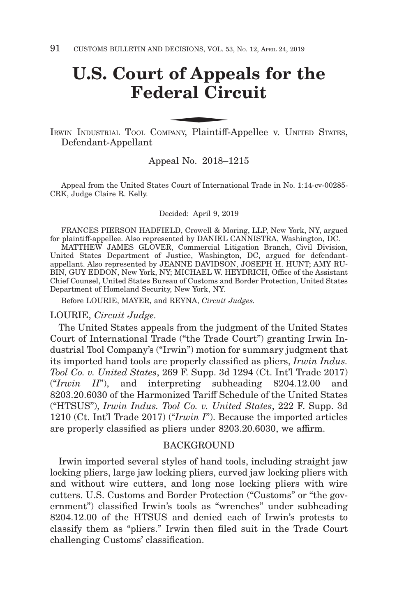# **U.S. Court of Appeals for the Federal Circuit** of Appenderal Circle 1

IRWIN INDUSTRIAL TOOL COMPANY, Plaintiff-Appellee v. UNITED STATES, Defendant-Appellant

## Appeal No. 2018–1215

Appeal from the United States Court of International Trade in No. 1:14-cv-00285- CRK, Judge Claire R. Kelly.

#### Decided: April 9, 2019

FRANCES PIERSON HADFIELD, Crowell & Moring, LLP, New York, NY, argued for plaintiff-appellee. Also represented by DANIEL CANNISTRA, Washington, DC.

MATTHEW JAMES GLOVER, Commercial Litigation Branch, Civil Division, United States Department of Justice, Washington, DC, argued for defendantappellant. Also represented by JEANNE DAVIDSON, JOSEPH H. HUNT; AMY RU-BIN, GUY EDDON, New York, NY; MICHAEL W. HEYDRICH, Office of the Assistant Chief Counsel, United States Bureau of Customs and Border Protection, United States Department of Homeland Security, New York, NY.

Before LOURIE, MAYER, and REYNA, *Circuit Judges.*

### LOURIE, *Circuit Judge.*

The United States appeals from the judgment of the United States Court of International Trade ("the Trade Court") granting Irwin Industrial Tool Company's ("Irwin") motion for summary judgment that its imported hand tools are properly classified as pliers, *Irwin Indus. Tool Co. v. United States*, 269 F. Supp. 3d 1294 (Ct. Int'l Trade 2017) ("*Irwin II*"), and interpreting subheading 8204.12.00 and 8203.20.6030 of the Harmonized Tariff Schedule of the United States ("HTSUS"), *Irwin Indus. Tool Co. v. United States*, 222 F. Supp. 3d 1210 (Ct. Int'l Trade 2017) ("*Irwin I*"). Because the imported articles are properly classified as pliers under 8203.20.6030, we affirm.

#### BACKGROUND

Irwin imported several styles of hand tools, including straight jaw locking pliers, large jaw locking pliers, curved jaw locking pliers with and without wire cutters, and long nose locking pliers with wire cutters. U.S. Customs and Border Protection ("Customs" or "the government") classified Irwin's tools as "wrenches" under subheading 8204.12.00 of the HTSUS and denied each of Irwin's protests to classify them as "pliers." Irwin then filed suit in the Trade Court challenging Customs' classification.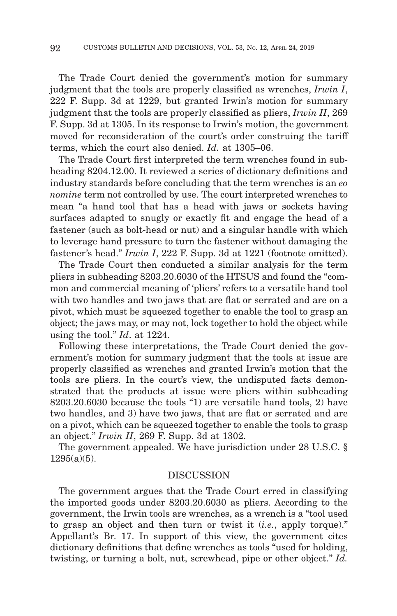The Trade Court denied the government's motion for summary judgment that the tools are properly classified as wrenches, *Irwin I*, 222 F. Supp. 3d at 1229, but granted Irwin's motion for summary judgment that the tools are properly classified as pliers, *Irwin II*, 269 F. Supp. 3d at 1305. In its response to Irwin's motion, the government moved for reconsideration of the court's order construing the tariff terms, which the court also denied. *Id.* at 1305–06.

The Trade Court first interpreted the term wrenches found in subheading 8204.12.00. It reviewed a series of dictionary definitions and industry standards before concluding that the term wrenches is an *eo nomine* term not controlled by use. The court interpreted wrenches to mean "a hand tool that has a head with jaws or sockets having surfaces adapted to snugly or exactly fit and engage the head of a fastener (such as bolt-head or nut) and a singular handle with which to leverage hand pressure to turn the fastener without damaging the fastener's head." *Irwin I*, 222 F. Supp. 3d at 1221 (footnote omitted).

The Trade Court then conducted a similar analysis for the term pliers in subheading 8203.20.6030 of the HTSUS and found the "common and commercial meaning of 'pliers' refers to a versatile hand tool with two handles and two jaws that are flat or serrated and are on a pivot, which must be squeezed together to enable the tool to grasp an object; the jaws may, or may not, lock together to hold the object while using the tool." *Id*. at 1224.

Following these interpretations, the Trade Court denied the government's motion for summary judgment that the tools at issue are properly classified as wrenches and granted Irwin's motion that the tools are pliers. In the court's view, the undisputed facts demonstrated that the products at issue were pliers within subheading 8203.20.6030 because the tools "1) are versatile hand tools, 2) have two handles, and 3) have two jaws, that are flat or serrated and are on a pivot, which can be squeezed together to enable the tools to grasp an object." *Irwin II*, 269 F. Supp. 3d at 1302.

The government appealed. We have jurisdiction under 28 U.S.C. §  $1295(a)(5)$ .

#### DISCUSSION

The government argues that the Trade Court erred in classifying the imported goods under 8203.20.6030 as pliers. According to the government, the Irwin tools are wrenches, as a wrench is a "tool used to grasp an object and then turn or twist it (*i.e.*, apply torque)." Appellant's Br. 17. In support of this view, the government cites dictionary definitions that define wrenches as tools "used for holding, twisting, or turning a bolt, nut, screwhead, pipe or other object." *Id.*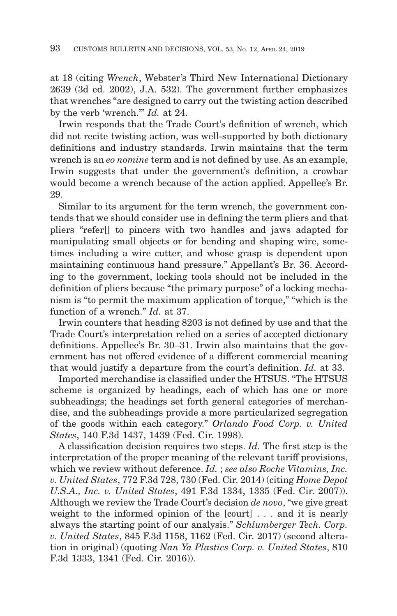at 18 (citing *Wrench*, Webster's Third New International Dictionary 2639 (3d ed. 2002), J.A. 532). The government further emphasizes that wrenches "are designed to carry out the twisting action described by the verb 'wrench.'" *Id.* at 24.

Irwin responds that the Trade Court's definition of wrench, which did not recite twisting action, was well-supported by both dictionary definitions and industry standards. Irwin maintains that the term wrench is an *eo nomine* term and is not defined by use. As an example, Irwin suggests that under the government's definition, a crowbar would become a wrench because of the action applied. Appellee's Br. 29.

Similar to its argument for the term wrench, the government contends that we should consider use in defining the term pliers and that pliers "refer[] to pincers with two handles and jaws adapted for manipulating small objects or for bending and shaping wire, sometimes including a wire cutter, and whose grasp is dependent upon maintaining continuous hand pressure." Appellant's Br. 36. According to the government, locking tools should not be included in the definition of pliers because "the primary purpose" of a locking mechanism is "to permit the maximum application of torque," "which is the function of a wrench." *Id.* at 37.

Irwin counters that heading 8203 is not defined by use and that the Trade Court's interpretation relied on a series of accepted dictionary definitions. Appellee's Br. 30–31. Irwin also maintains that the government has not offered evidence of a different commercial meaning that would justify a departure from the court's definition. *Id.* at 33.

Imported merchandise is classified under the HTSUS. "The HTSUS scheme is organized by headings, each of which has one or more subheadings; the headings set forth general categories of merchandise, and the subheadings provide a more particularized segregation of the goods within each category." *Orlando Food Corp. v. United States*, 140 F.3d 1437, 1439 (Fed. Cir. 1998).

A classification decision requires two steps. *Id.* The first step is the interpretation of the proper meaning of the relevant tariff provisions, which we review without deference. *Id.* ; *see also Roche Vitamins, Inc. v. United States*, 772 F.3d 728, 730 (Fed. Cir. 2014) (citing *Home Depot U.S.A., Inc. v. United States*, 491 F.3d 1334, 1335 (Fed. Cir. 2007)). Although we review the Trade Court's decision *de novo*, "we give great weight to the informed opinion of the [court] . . . and it is nearly always the starting point of our analysis." *Schlumberger Tech. Corp. v. United States*, 845 F.3d 1158, 1162 (Fed. Cir. 2017) (second alteration in original) (quoting *Nan Ya Plastics Corp. v. United States*, 810 F.3d 1333, 1341 (Fed. Cir. 2016)).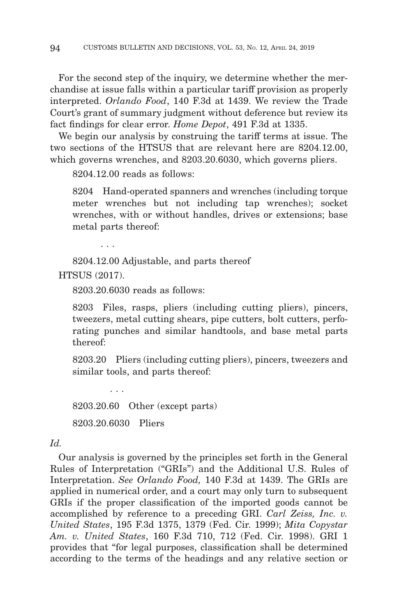For the second step of the inquiry, we determine whether the merchandise at issue falls within a particular tariff provision as properly interpreted. *Orlando Food*, 140 F.3d at 1439. We review the Trade Court's grant of summary judgment without deference but review its fact findings for clear error. *Home Depot*, 491 F.3d at 1335.

We begin our analysis by construing the tariff terms at issue. The two sections of the HTSUS that are relevant here are 8204.12.00, which governs wrenches, and 8203.20.6030, which governs pliers.

8204.12.00 reads as follows:

8204 Hand-operated spanners and wrenches (including torque meter wrenches but not including tap wrenches); socket wrenches, with or without handles, drives or extensions; base metal parts thereof:

. . .

8204.12.00 Adjustable, and parts thereof

HTSUS (2017).

8203.20.6030 reads as follows:

8203 Files, rasps, pliers (including cutting pliers), pincers, tweezers, metal cutting shears, pipe cutters, bolt cutters, perforating punches and similar handtools, and base metal parts thereof:

8203.20 Pliers (including cutting pliers), pincers, tweezers and similar tools, and parts thereof:

8203.20.60 Other (except parts) 8203.20.6030 Pliers

. . .

# *Id.*

Our analysis is governed by the principles set forth in the General Rules of Interpretation ("GRIs") and the Additional U.S. Rules of Interpretation. *See Orlando Food,* 140 F.3d at 1439. The GRIs are applied in numerical order, and a court may only turn to subsequent GRIs if the proper classification of the imported goods cannot be accomplished by reference to a preceding GRI. *Carl Zeiss, Inc. v. United States*, 195 F.3d 1375, 1379 (Fed. Cir. 1999); *Mita Copystar Am. v. United States*, 160 F.3d 710, 712 (Fed. Cir. 1998). GRI 1 provides that "for legal purposes, classification shall be determined according to the terms of the headings and any relative section or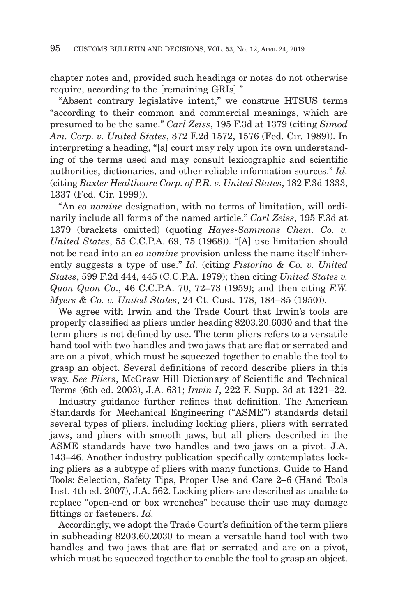chapter notes and, provided such headings or notes do not otherwise require, according to the [remaining GRIs]."

"Absent contrary legislative intent," we construe HTSUS terms "according to their common and commercial meanings, which are presumed to be the same." *Carl Zeiss*, 195 F.3d at 1379 (citing *Simod Am. Corp. v. United States*, 872 F.2d 1572, 1576 (Fed. Cir. 1989)). In interpreting a heading, "[a] court may rely upon its own understanding of the terms used and may consult lexicographic and scientific authorities, dictionaries, and other reliable information sources." *Id.* (citing *Baxter Healthcare Corp. of P.R. v. United States*, 182 F.3d 1333, 1337 (Fed. Cir. 1999)).

"An *eo nomine* designation, with no terms of limitation, will ordinarily include all forms of the named article." *Carl Zeiss*, 195 F.3d at 1379 (brackets omitted) (quoting *Hayes-Sammons Chem. Co. v. United States*, 55 C.C.P.A. 69, 75 (1968)). "[A] use limitation should not be read into an *eo nomine* provision unless the name itself inherently suggests a type of use." *Id.* (citing *Pistorino & Co. v. United States*, 599 F.2d 444, 445 (C.C.P.A. 1979); then citing *United States v. Quon Quon Co*., 46 C.C.P.A. 70, 72–73 (1959); and then citing *F.W. Myers & Co. v. United States*, 24 Ct. Cust. 178, 184–85 (1950)).

We agree with Irwin and the Trade Court that Irwin's tools are properly classified as pliers under heading 8203.20.6030 and that the term pliers is not defined by use. The term pliers refers to a versatile hand tool with two handles and two jaws that are flat or serrated and are on a pivot, which must be squeezed together to enable the tool to grasp an object. Several definitions of record describe pliers in this way. *See Pliers*, McGraw Hill Dictionary of Scientific and Technical Terms (6th ed. 2003), J.A. 631; *Irwin I*, 222 F. Supp. 3d at 1221–22.

Industry guidance further refines that definition. The American Standards for Mechanical Engineering ("ASME") standards detail several types of pliers, including locking pliers, pliers with serrated jaws, and pliers with smooth jaws, but all pliers described in the ASME standards have two handles and two jaws on a pivot. J.A. 143–46. Another industry publication specifically contemplates locking pliers as a subtype of pliers with many functions. Guide to Hand Tools: Selection, Safety Tips, Proper Use and Care 2–6 (Hand Tools Inst. 4th ed. 2007), J.A. 562. Locking pliers are described as unable to replace "open-end or box wrenches" because their use may damage fittings or fasteners. *Id.*

Accordingly, we adopt the Trade Court's definition of the term pliers in subheading 8203.60.2030 to mean a versatile hand tool with two handles and two jaws that are flat or serrated and are on a pivot, which must be squeezed together to enable the tool to grasp an object.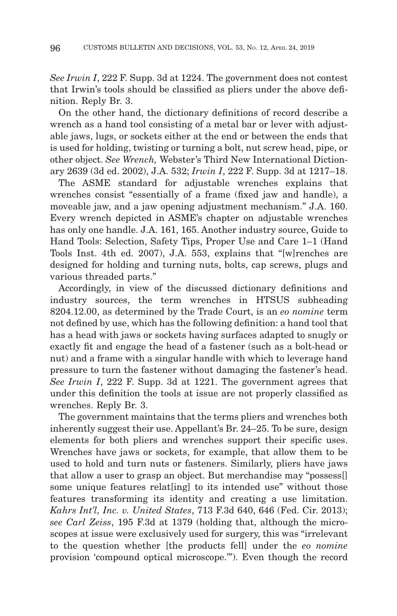*See Irwin I*, 222 F. Supp. 3d at 1224. The government does not contest that Irwin's tools should be classified as pliers under the above definition. Reply Br. 3.

On the other hand, the dictionary definitions of record describe a wrench as a hand tool consisting of a metal bar or lever with adjustable jaws, lugs, or sockets either at the end or between the ends that is used for holding, twisting or turning a bolt, nut screw head, pipe, or other object. *See Wrench,* Webster's Third New International Dictionary 2639 (3d ed. 2002), J.A. 532; *Irwin I*, 222 F. Supp. 3d at 1217–18.

The ASME standard for adjustable wrenches explains that wrenches consist "essentially of a frame (fixed jaw and handle), a moveable jaw, and a jaw opening adjustment mechanism." J.A. 160. Every wrench depicted in ASME's chapter on adjustable wrenches has only one handle. J.A. 161, 165. Another industry source, Guide to Hand Tools: Selection, Safety Tips, Proper Use and Care 1–1 (Hand Tools Inst. 4th ed. 2007), J.A. 553, explains that "[w]renches are designed for holding and turning nuts, bolts, cap screws, plugs and various threaded parts."

Accordingly, in view of the discussed dictionary definitions and industry sources, the term wrenches in HTSUS subheading 8204.12.00, as determined by the Trade Court, is an *eo nomine* term not defined by use, which has the following definition: a hand tool that has a head with jaws or sockets having surfaces adapted to snugly or exactly fit and engage the head of a fastener (such as a bolt-head or nut) and a frame with a singular handle with which to leverage hand pressure to turn the fastener without damaging the fastener's head. *See Irwin I*, 222 F. Supp. 3d at 1221. The government agrees that under this definition the tools at issue are not properly classified as wrenches. Reply Br. 3.

The government maintains that the terms pliers and wrenches both inherently suggest their use. Appellant's Br. 24–25. To be sure, design elements for both pliers and wrenches support their specific uses. Wrenches have jaws or sockets, for example, that allow them to be used to hold and turn nuts or fasteners. Similarly, pliers have jaws that allow a user to grasp an object. But merchandise may "possess[] some unique features relat[ing] to its intended use" without those features transforming its identity and creating a use limitation. *Kahrs Int'l, Inc. v. United States*, 713 F.3d 640, 646 (Fed. Cir. 2013); *see Carl Zeiss*, 195 F.3d at 1379 (holding that, although the microscopes at issue were exclusively used for surgery, this was "irrelevant to the question whether [the products fell] under the *eo nomine* provision 'compound optical microscope.'"). Even though the record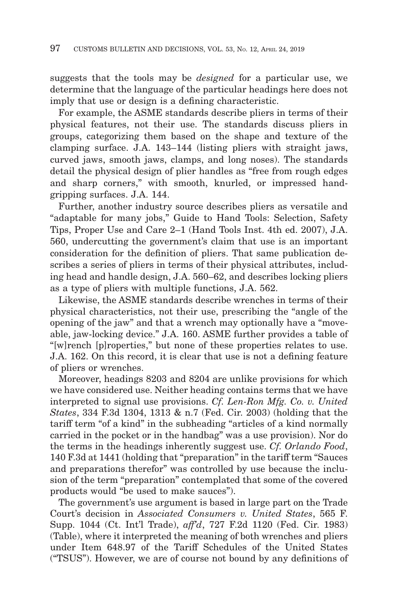suggests that the tools may be *designed* for a particular use, we determine that the language of the particular headings here does not imply that use or design is a defining characteristic.

For example, the ASME standards describe pliers in terms of their physical features, not their use. The standards discuss pliers in groups, categorizing them based on the shape and texture of the clamping surface. J.A. 143–144 (listing pliers with straight jaws, curved jaws, smooth jaws, clamps, and long noses). The standards detail the physical design of plier handles as "free from rough edges and sharp corners," with smooth, knurled, or impressed handgripping surfaces. J.A. 144.

Further, another industry source describes pliers as versatile and "adaptable for many jobs," Guide to Hand Tools: Selection, Safety Tips, Proper Use and Care 2–1 (Hand Tools Inst. 4th ed. 2007), J.A. 560, undercutting the government's claim that use is an important consideration for the definition of pliers. That same publication describes a series of pliers in terms of their physical attributes, including head and handle design, J.A. 560–62, and describes locking pliers as a type of pliers with multiple functions, J.A. 562.

Likewise, the ASME standards describe wrenches in terms of their physical characteristics, not their use, prescribing the "angle of the opening of the jaw" and that a wrench may optionally have a "moveable, jaw-locking device." J.A. 160. ASME further provides a table of "[w]rench [p]roperties," but none of these properties relates to use. J.A. 162. On this record, it is clear that use is not a defining feature of pliers or wrenches.

Moreover, headings 8203 and 8204 are unlike provisions for which we have considered use. Neither heading contains terms that we have interpreted to signal use provisions. *Cf. Len-Ron Mfg. Co. v. United States*, 334 F.3d 1304, 1313 & n.7 (Fed. Cir. 2003) (holding that the tariff term "of a kind" in the subheading "articles of a kind normally carried in the pocket or in the handbag" was a use provision). Nor do the terms in the headings inherently suggest use. *Cf. Orlando Food*, 140 F.3d at 1441 (holding that "preparation" in the tariff term "Sauces and preparations therefor" was controlled by use because the inclusion of the term "preparation" contemplated that some of the covered products would "be used to make sauces").

The government's use argument is based in large part on the Trade Court's decision in *Associated Consumers v. United States*, 565 F. Supp. 1044 (Ct. Int'l Trade), *aff'd*, 727 F.2d 1120 (Fed. Cir. 1983) (Table), where it interpreted the meaning of both wrenches and pliers under Item 648.97 of the Tariff Schedules of the United States ("TSUS"). However, we are of course not bound by any definitions of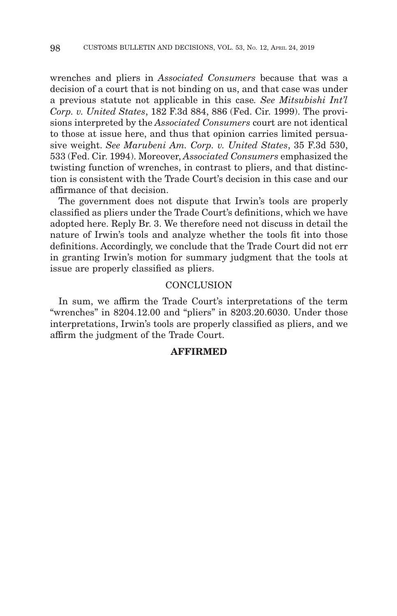wrenches and pliers in *Associated Consumers* because that was a decision of a court that is not binding on us, and that case was under a previous statute not applicable in this case*. See Mitsubishi Int'l Corp. v. United States*, 182 F.3d 884, 886 (Fed. Cir. 1999). The provisions interpreted by the *Associated Consumers* court are not identical to those at issue here, and thus that opinion carries limited persuasive weight. *See Marubeni Am. Corp. v. United States*, 35 F.3d 530, 533 (Fed. Cir. 1994). Moreover, *Associated Consumers* emphasized the twisting function of wrenches, in contrast to pliers, and that distinction is consistent with the Trade Court's decision in this case and our affirmance of that decision.

The government does not dispute that Irwin's tools are properly classified as pliers under the Trade Court's definitions, which we have adopted here. Reply Br. 3. We therefore need not discuss in detail the nature of Irwin's tools and analyze whether the tools fit into those definitions. Accordingly, we conclude that the Trade Court did not err in granting Irwin's motion for summary judgment that the tools at issue are properly classified as pliers.

## **CONCLUSION**

In sum, we affirm the Trade Court's interpretations of the term "wrenches" in 8204.12.00 and "pliers" in 8203.20.6030. Under those interpretations, Irwin's tools are properly classified as pliers, and we affirm the judgment of the Trade Court.

## **AFFIRMED**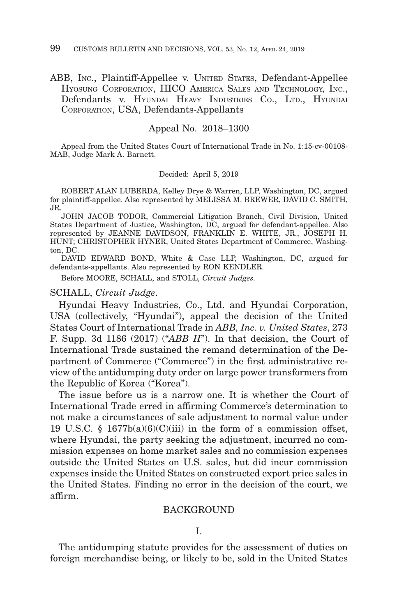## ABB, INC., Plaintiff-Appellee v. UNITED STATES, Defendant-Appellee HYOSUNG CORPORATION, HICO AMERICA SALES AND TECHNOLOGY, INC., Defendants v. HYUNDAI HEAVY INDUSTRIES CO., LTD., HYUNDAI CORPORATION, USA, Defendants-Appellants

#### Appeal No. 2018–1300

Appeal from the United States Court of International Trade in No. 1:15-cv-00108- MAB, Judge Mark A. Barnett.

#### Decided: April 5, 2019

ROBERT ALAN LUBERDA, Kelley Drye & Warren, LLP, Washington, DC, argued for plaintiff-appellee. Also represented by MELISSA M. BREWER, DAVID C. SMITH, JR.

JOHN JACOB TODOR, Commercial Litigation Branch, Civil Division, United States Department of Justice, Washington, DC, argued for defendant-appellee. Also represented by JEANNE DAVIDSON, FRANKLIN E. WHITE, JR., JOSEPH H. HUNT; CHRISTOPHER HYNER, United States Department of Commerce, Washington, DC.

DAVID EDWARD BOND, White & Case LLP, Washington, DC, argued for defendants-appellants. Also represented by RON KENDLER.

Before MOORE, SCHALL, and STOLL, *Circuit Judges.*

#### SCHALL, *Circuit Judge*.

Hyundai Heavy Industries, Co., Ltd. and Hyundai Corporation, USA (collectively, "Hyundai"), appeal the decision of the United States Court of International Trade in *ABB, Inc. v. United States*, 273 F. Supp. 3d 1186 (2017) ("*ABB II*"). In that decision, the Court of International Trade sustained the remand determination of the Department of Commerce ("Commerce") in the first administrative review of the antidumping duty order on large power transformers from the Republic of Korea ("Korea").

The issue before us is a narrow one. It is whether the Court of International Trade erred in affirming Commerce's determination to not make a circumstances of sale adjustment to normal value under 19 U.S.C. §  $1677b(a)(6)(C)(iii)$  in the form of a commission offset, where Hyundai, the party seeking the adjustment, incurred no commission expenses on home market sales and no commission expenses outside the United States on U.S. sales, but did incur commission expenses inside the United States on constructed export price sales in the United States. Finding no error in the decision of the court, we affirm.

#### BACKGROUND

I.

The antidumping statute provides for the assessment of duties on foreign merchandise being, or likely to be, sold in the United States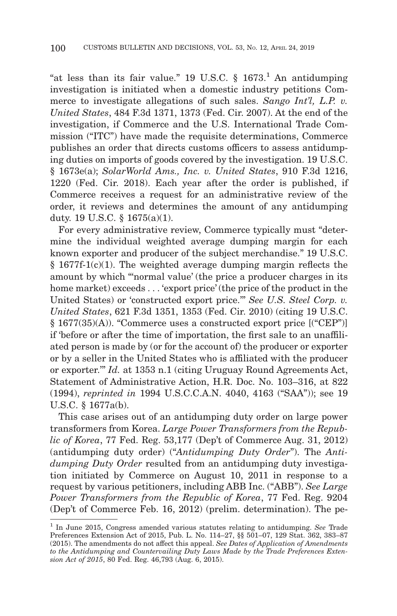"at less than its fair value." 19 U.S.C.  $\S$  1673.<sup>1</sup> An antidumping investigation is initiated when a domestic industry petitions Commerce to investigate allegations of such sales. *Sango Int'l, L.P. v. United States*, 484 F.3d 1371, 1373 (Fed. Cir. 2007). At the end of the investigation, if Commerce and the U.S. International Trade Commission ("ITC") have made the requisite determinations, Commerce publishes an order that directs customs officers to assess antidumping duties on imports of goods covered by the investigation. 19 U.S.C. § 1673e(a); *SolarWorld Ams., Inc. v. United States*, 910 F.3d 1216, 1220 (Fed. Cir. 2018). Each year after the order is published, if Commerce receives a request for an administrative review of the order, it reviews and determines the amount of any antidumping duty. 19 U.S.C. § 1675(a)(1).

For every administrative review, Commerce typically must "determine the individual weighted average dumping margin for each known exporter and producer of the subject merchandise." 19 U.S.C.  $§$  1677f-1(c)(1). The weighted average dumping margin reflects the amount by which "'normal value' (the price a producer charges in its home market) exceeds . . . 'export price' (the price of the product in the United States) or 'constructed export price.'" *See U.S. Steel Corp. v. United States*, 621 F.3d 1351, 1353 (Fed. Cir. 2010) (citing 19 U.S.C. § 1677(35)(A)). "Commerce uses a constructed export price [("CEP")] if 'before or after the time of importation, the first sale to an unaffiliated person is made by (or for the account of) the producer or exporter or by a seller in the United States who is affiliated with the producer or exporter.'" *Id.* at 1353 n.1 (citing Uruguay Round Agreements Act, Statement of Administrative Action, H.R. Doc. No. 103–316, at 822 (1994), *reprinted in* 1994 U.S.C.C.A.N. 4040, 4163 ("SAA")); see 19 U.S.C. § 1677a(b).

This case arises out of an antidumping duty order on large power transformers from Korea. *Large Power Transformers from the Republic of Korea*, 77 Fed. Reg. 53,177 (Dep't of Commerce Aug. 31, 2012) (antidumping duty order) ("*Antidumping Duty Order*"). The *Antidumping Duty Order* resulted from an antidumping duty investigation initiated by Commerce on August 10, 2011 in response to a request by various petitioners, including ABB Inc. ("ABB"). *See Large Power Transformers from the Republic of Korea*, 77 Fed. Reg. 9204 (Dep't of Commerce Feb. 16, 2012) (prelim. determination). The pe-

<sup>1</sup> In June 2015, Congress amended various statutes relating to antidumping. *See* Trade Preferences Extension Act of 2015, Pub. L. No. 114–27, §§ 501–07, 129 Stat. 362, 383–87 (2015). The amendments do not affect this appeal. *See Dates of Application of Amendments to the Antidumping and Countervailing Duty Laws Made by the Trade Preferences Extension Act of 2015*, 80 Fed. Reg. 46,793 (Aug. 6, 2015).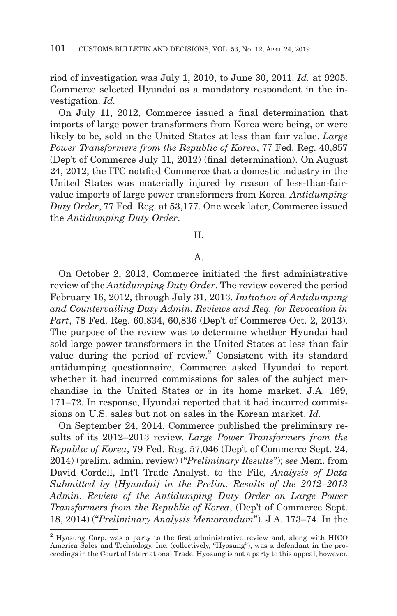riod of investigation was July 1, 2010, to June 30, 2011. *Id.* at 9205. Commerce selected Hyundai as a mandatory respondent in the investigation. *Id.*

On July 11, 2012, Commerce issued a final determination that imports of large power transformers from Korea were being, or were likely to be, sold in the United States at less than fair value. *Large Power Transformers from the Republic of Korea*, 77 Fed. Reg. 40,857 (Dep't of Commerce July 11, 2012) (final determination). On August 24, 2012, the ITC notified Commerce that a domestic industry in the United States was materially injured by reason of less-than-fairvalue imports of large power transformers from Korea. *Antidumping Duty Order*, 77 Fed. Reg. at 53,177. One week later, Commerce issued the *Antidumping Duty Order*.

II.

#### A.

On October 2, 2013, Commerce initiated the first administrative review of the *Antidumping Duty Order*. The review covered the period February 16, 2012, through July 31, 2013. *Initiation of Antidumping and Countervailing Duty Admin. Reviews and Req. for Revocation in Part*, 78 Fed. Reg. 60,834, 60,836 (Dep't of Commerce Oct. 2, 2013). The purpose of the review was to determine whether Hyundai had sold large power transformers in the United States at less than fair value during the period of review. 2 Consistent with its standard antidumping questionnaire, Commerce asked Hyundai to report whether it had incurred commissions for sales of the subject merchandise in the United States or in its home market. J.A. 169, 171–72. In response, Hyundai reported that it had incurred commissions on U.S. sales but not on sales in the Korean market. *Id.*

On September 24, 2014, Commerce published the preliminary results of its 2012–2013 review. *Large Power Transformers from the Republic of Korea*, 79 Fed. Reg. 57,046 (Dep't of Commerce Sept. 24, 2014) (prelim. admin. review) ("*Preliminary Results*"); *see* Mem. from David Cordell, Int'l Trade Analyst, to the File*, Analysis of Data Submitted by [Hyundai] in the Prelim. Results of the 2012*–*2013 Admin. Review of the Antidumping Duty Order on Large Power Transformers from the Republic of Korea*, (Dep't of Commerce Sept. 18, 2014) ("*Preliminary Analysis Memorandum*"). J.A. 173–74. In the

<sup>2</sup> Hyosung Corp. was a party to the first administrative review and, along with HICO America Sales and Technology, Inc. (collectively, "Hyosung"), was a defendant in the proceedings in the Court of International Trade. Hyosung is not a party to this appeal, however.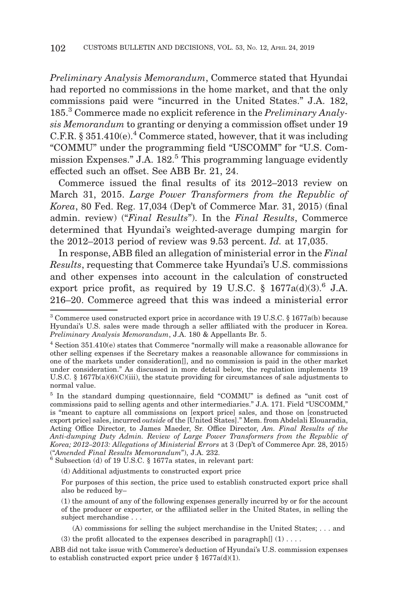*Preliminary Analysis Memorandum*, Commerce stated that Hyundai had reported no commissions in the home market, and that the only commissions paid were "incurred in the United States." J.A. 182, 185.3 Commerce made no explicit reference in the *Preliminary Analysis Memorandum* to granting or denying a commission offset under 19 C.F.R.  $§ 351.410(e).4$  Commerce stated, however, that it was including "COMMU" under the programming field "USCOMM" for "U.S. Commission Expenses." J.A. 182.5 This programming language evidently effected such an offset. See ABB Br. 21, 24.

Commerce issued the final results of its 2012–2013 review on March 31, 2015. *Large Power Transformers from the Republic of Korea*, 80 Fed. Reg. 17,034 (Dep't of Commerce Mar. 31, 2015) (final admin. review) ("*Final Results*"). In the *Final Results*, Commerce determined that Hyundai's weighted-average dumping margin for the 2012–2013 period of review was 9.53 percent. *Id.* at 17,035.

In response, ABB filed an allegation of ministerial error in the *Final Results*, requesting that Commerce take Hyundai's U.S. commissions and other expenses into account in the calculation of constructed export price profit, as required by 19 U.S.C.  $\S$  1677a(d)(3).<sup>6</sup> J.A. 216–20. Commerce agreed that this was indeed a ministerial error

5 In the standard dumping questionnaire, field "COMMU" is defined as "unit cost of commissions paid to selling agents and other intermediaries." J.A. 171. Field "USCOMM," is "meant to capture all commissions on [export price] sales, and those on [constructed export price] sales, incurred *outside* of the [United States]." Mem. from Abdelali Elouaradia, Acting Office Director, to James Maeder, Sr. Office Director, *Am. Final Results of the Anti-dumping Duty Admin. Review of Large Power Transformers from the Republic of Korea; 2012–2013: Allegations of Ministerial Errors at 3 (Dep't of Commerce Apr. 28, 2015)*<br>("Amended Final Results Memorandum"), J.A. 232.

Subsection (d) of 19 U.S.C. § 1677a states, in relevant part:

(d) Additional adjustments to constructed export price

For purposes of this section, the price used to establish constructed export price shall also be reduced by–

(1) the amount of any of the following expenses generally incurred by or for the account of the producer or exporter, or the affiliated seller in the United States, in selling the subject merchandise . . .

(A) commissions for selling the subject merchandise in the United States; . . . and

(3) the profit allocated to the expenses described in paragraph $[ ] (1) \ldots$ .

<sup>3</sup> Commerce used constructed export price in accordance with 19 U.S.C. § 1677a(b) because Hyundai's U.S. sales were made through a seller affiliated with the producer in Korea. *Preliminary Analysis Memorandum*, J.A. 180 & Appellants Br. 5.

<sup>4</sup> Section 351.410(e) states that Commerce "normally will make a reasonable allowance for other selling expenses if the Secretary makes a reasonable allowance for commissions in one of the markets under consideration[], and no commission is paid in the other market under consideration." As discussed in more detail below, the regulation implements 19 U.S.C. § 1677b(a)(6)(C)(iii), the statute providing for circumstances of sale adjustments to normal value.

ABB did not take issue with Commerce's deduction of Hyundai's U.S. commission expenses to establish constructed export price under §  $1677a(d)(1)$ .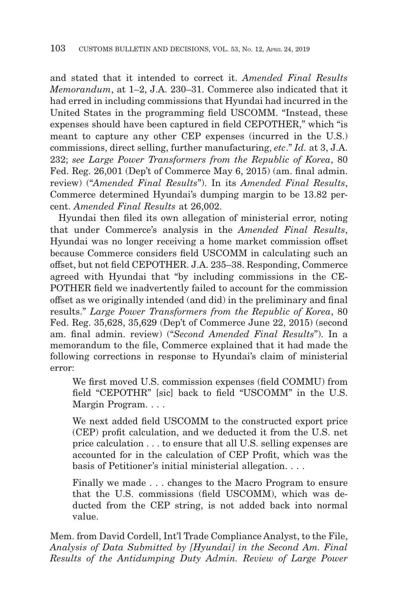and stated that it intended to correct it. *Amended Final Results Memorandum*, at 1–2, J.A. 230–31. Commerce also indicated that it had erred in including commissions that Hyundai had incurred in the United States in the programming field USCOMM. "Instead, these expenses should have been captured in field CEPOTHER," which "is meant to capture any other CEP expenses (incurred in the U.S.) commissions, direct selling, further manufacturing, *etc*." *Id.* at 3, J.A. 232; *see Large Power Transformers from the Republic of Korea*, 80 Fed. Reg. 26,001 (Dep't of Commerce May 6, 2015) (am. final admin. review) ("*Amended Final Results*"). In its *Amended Final Results*, Commerce determined Hyundai's dumping margin to be 13.82 percent. *Amended Final Results* at 26,002.

Hyundai then filed its own allegation of ministerial error, noting that under Commerce's analysis in the *Amended Final Results*, Hyundai was no longer receiving a home market commission offset because Commerce considers field USCOMM in calculating such an offset, but not field CEPOTHER. J.A. 235–38. Responding, Commerce agreed with Hyundai that "by including commissions in the CE-POTHER field we inadvertently failed to account for the commission offset as we originally intended (and did) in the preliminary and final results." *Large Power Transformers from the Republic of Korea*, 80 Fed. Reg. 35,628, 35,629 (Dep't of Commerce June 22, 2015) (second am. final admin. review) ("*Second Amended Final Results*"). In a memorandum to the file, Commerce explained that it had made the following corrections in response to Hyundai's claim of ministerial error:

We first moved U.S. commission expenses (field COMMU) from field "CEPOTHR" [sic] back to field "USCOMM" in the U.S. Margin Program. . . .

We next added field USCOMM to the constructed export price (CEP) profit calculation, and we deducted it from the U.S. net price calculation . . . to ensure that all U.S. selling expenses are accounted for in the calculation of CEP Profit, which was the basis of Petitioner's initial ministerial allegation. . . .

Finally we made . . . changes to the Macro Program to ensure that the U.S. commissions (field USCOMM), which was deducted from the CEP string, is not added back into normal value.

Mem. from David Cordell, Int'l Trade Compliance Analyst, to the File, *Analysis of Data Submitted by [Hyundai] in the Second Am. Final Results of the Antidumping Duty Admin. Review of Large Power*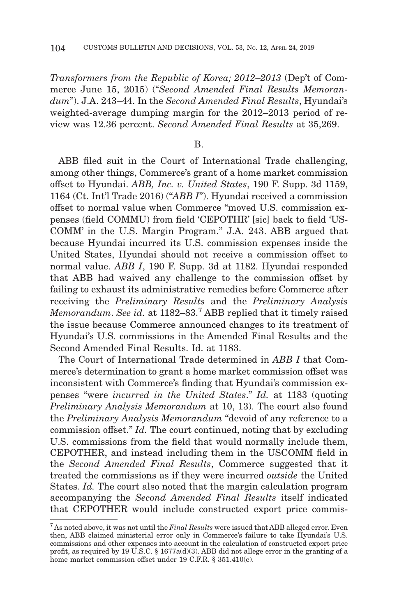*Transformers from the Republic of Korea; 2012*–*2013* (Dep't of Commerce June 15, 2015) ("*Second Amended Final Results Memorandum*"). J.A. 243–44. In the *Second Amended Final Results*, Hyundai's weighted-average dumping margin for the 2012–2013 period of review was 12.36 percent. *Second Amended Final Results* at 35,269.

B.

ABB filed suit in the Court of International Trade challenging, among other things, Commerce's grant of a home market commission offset to Hyundai. *ABB, Inc. v. United States*, 190 F. Supp. 3d 1159, 1164 (Ct. Int'l Trade 2016) ("*ABB I*"). Hyundai received a commission offset to normal value when Commerce "moved U.S. commission expenses (field COMMU) from field 'CEPOTHR' [sic] back to field 'US-COMM' in the U.S. Margin Program." J.A. 243. ABB argued that because Hyundai incurred its U.S. commission expenses inside the United States, Hyundai should not receive a commission offset to normal value. *ABB I*, 190 F. Supp. 3d at 1182. Hyundai responded that ABB had waived any challenge to the commission offset by failing to exhaust its administrative remedies before Commerce after receiving the *Preliminary Results* and the *Preliminary Analysis Memorandum*. *See id.* at 1182–83.7 ABB replied that it timely raised the issue because Commerce announced changes to its treatment of Hyundai's U.S. commissions in the Amended Final Results and the Second Amended Final Results. Id. at 1183.

The Court of International Trade determined in *ABB I* that Commerce's determination to grant a home market commission offset was inconsistent with Commerce's finding that Hyundai's commission expenses "were *incurred in the United States*." *Id.* at 1183 (quoting *Preliminary Analysis Memorandum* at 10, 13)*.* The court also found the *Preliminary Analysis Memorandum* "devoid of any reference to a commission offset." *Id.* The court continued, noting that by excluding U.S. commissions from the field that would normally include them, CEPOTHER, and instead including them in the USCOMM field in the *Second Amended Final Results*, Commerce suggested that it treated the commissions as if they were incurred *outside* the United States. *Id.* The court also noted that the margin calculation program accompanying the *Second Amended Final Results* itself indicated that CEPOTHER would include constructed export price commis-

<sup>7</sup> As noted above, it was not until the *Final Results* were issued that ABB alleged error. Even then, ABB claimed ministerial error only in Commerce's failure to take Hyundai's U.S. commissions and other expenses into account in the calculation of constructed export price profit, as required by 19 U.S.C. § 1677a(d)(3). ABB did not allege error in the granting of a home market commission offset under 19 C.F.R. § 351.410(e).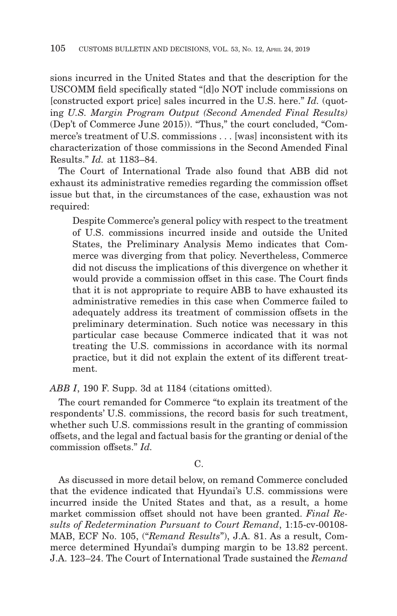sions incurred in the United States and that the description for the USCOMM field specifically stated "[d]o NOT include commissions on [constructed export price] sales incurred in the U.S. here." *Id.* (quoting *U.S. Margin Program Output (Second Amended Final Results)* (Dep't of Commerce June 2015)). "Thus," the court concluded, "Commerce's treatment of U.S. commissions . . . [was] inconsistent with its characterization of those commissions in the Second Amended Final Results." *Id.* at 1183–84.

The Court of International Trade also found that ABB did not exhaust its administrative remedies regarding the commission offset issue but that, in the circumstances of the case, exhaustion was not required:

Despite Commerce's general policy with respect to the treatment of U.S. commissions incurred inside and outside the United States, the Preliminary Analysis Memo indicates that Commerce was diverging from that policy. Nevertheless, Commerce did not discuss the implications of this divergence on whether it would provide a commission offset in this case. The Court finds that it is not appropriate to require ABB to have exhausted its administrative remedies in this case when Commerce failed to adequately address its treatment of commission offsets in the preliminary determination. Such notice was necessary in this particular case because Commerce indicated that it was not treating the U.S. commissions in accordance with its normal practice, but it did not explain the extent of its different treatment.

*ABB I*, 190 F. Supp. 3d at 1184 (citations omitted).

The court remanded for Commerce "to explain its treatment of the respondents' U.S. commissions, the record basis for such treatment, whether such U.S. commissions result in the granting of commission offsets, and the legal and factual basis for the granting or denial of the commission offsets." *Id.*

C.

As discussed in more detail below, on remand Commerce concluded that the evidence indicated that Hyundai's U.S. commissions were incurred inside the United States and that, as a result, a home market commission offset should not have been granted. *Final Results of Redetermination Pursuant to Court Remand*, 1:15-cv-00108- MAB, ECF No. 105, ("*Remand Results*"), J.A. 81. As a result, Commerce determined Hyundai's dumping margin to be 13.82 percent. J.A. 123–24. The Court of International Trade sustained the *Remand*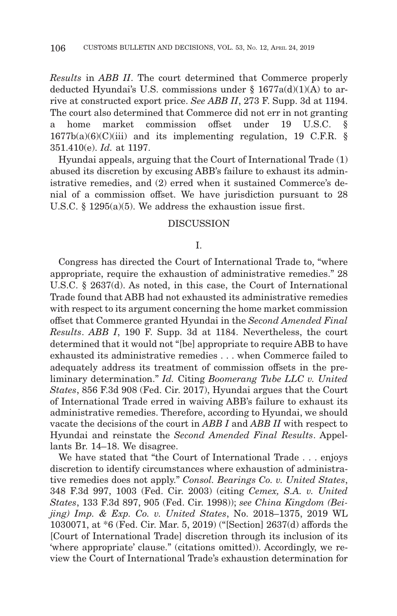*Results* in *ABB II*. The court determined that Commerce properly deducted Hyundai's U.S. commissions under  $\S$  1677a(d)(1)(A) to arrive at constructed export price. *See ABB II*, 273 F. Supp. 3d at 1194. The court also determined that Commerce did not err in not granting a home market commission offset under 19 U.S.C. §  $1677b(a)(6)(C)(iii)$  and its implementing regulation, 19 C.F.R. § 351.410(e). *Id.* at 1197.

Hyundai appeals, arguing that the Court of International Trade (1) abused its discretion by excusing ABB's failure to exhaust its administrative remedies, and (2) erred when it sustained Commerce's denial of a commission offset. We have jurisdiction pursuant to 28 U.S.C. § 1295(a)(5). We address the exhaustion issue first.

#### **DISCUSSION**

#### I.

Congress has directed the Court of International Trade to, "where appropriate, require the exhaustion of administrative remedies." 28 U.S.C. § 2637(d). As noted, in this case, the Court of International Trade found that ABB had not exhausted its administrative remedies with respect to its argument concerning the home market commission offset that Commerce granted Hyundai in the *Second Amended Final Results*. *ABB I*, 190 F. Supp. 3d at 1184. Nevertheless, the court determined that it would not "[be] appropriate to require ABB to have exhausted its administrative remedies . . . when Commerce failed to adequately address its treatment of commission offsets in the preliminary determination." *Id.* Citing *Boomerang Tube LLC v. United States*, 856 F.3d 908 (Fed. Cir. 2017), Hyundai argues that the Court of International Trade erred in waiving ABB's failure to exhaust its administrative remedies. Therefore, according to Hyundai, we should vacate the decisions of the court in *ABB I* and *ABB II* with respect to Hyundai and reinstate the *Second Amended Final Results*. Appellants Br. 14–18. We disagree.

We have stated that "the Court of International Trade . . . enjoys discretion to identify circumstances where exhaustion of administrative remedies does not apply." *Consol. Bearings Co. v. United States*, 348 F.3d 997, 1003 (Fed. Cir. 2003) (citing *Cemex, S.A. v. United States*, 133 F.3d 897, 905 (Fed. Cir. 1998)); *see China Kingdom (Beijing) Imp. & Exp. Co. v. United States*, No. 2018–1375, 2019 WL 1030071, at \*6 (Fed. Cir. Mar. 5, 2019) ("[Section] 2637(d) affords the [Court of International Trade] discretion through its inclusion of its 'where appropriate' clause." (citations omitted)). Accordingly, we review the Court of International Trade's exhaustion determination for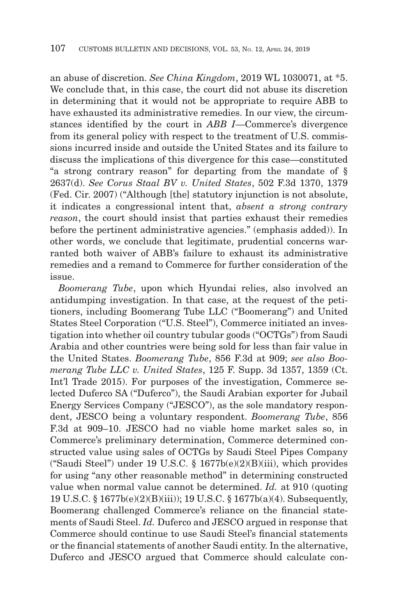an abuse of discretion. *See China Kingdom*, 2019 WL 1030071, at \*5. We conclude that, in this case, the court did not abuse its discretion in determining that it would not be appropriate to require ABB to have exhausted its administrative remedies. In our view, the circumstances identified by the court in *ABB I*—Commerce's divergence from its general policy with respect to the treatment of U.S. commissions incurred inside and outside the United States and its failure to discuss the implications of this divergence for this case—constituted "a strong contrary reason" for departing from the mandate of § 2637(d). *See Corus Staal BV v. United States*, 502 F.3d 1370, 1379 (Fed. Cir. 2007) ("Although [the] statutory injunction is not absolute, it indicates a congressional intent that, *absent a strong contrary reason*, the court should insist that parties exhaust their remedies before the pertinent administrative agencies." (emphasis added)). In other words, we conclude that legitimate, prudential concerns warranted both waiver of ABB's failure to exhaust its administrative remedies and a remand to Commerce for further consideration of the issue.

*Boomerang Tube*, upon which Hyundai relies, also involved an antidumping investigation. In that case, at the request of the petitioners, including Boomerang Tube LLC ("Boomerang") and United States Steel Corporation ("U.S. Steel"), Commerce initiated an investigation into whether oil country tubular goods ("OCTGs") from Saudi Arabia and other countries were being sold for less than fair value in the United States. *Boomerang Tube*, 856 F.3d at 909; *see also Boomerang Tube LLC v. United States*, 125 F. Supp. 3d 1357, 1359 (Ct. Int'l Trade 2015). For purposes of the investigation, Commerce selected Duferco SA ("Duferco"), the Saudi Arabian exporter for Jubail Energy Services Company ("JESCO"), as the sole mandatory respondent, JESCO being a voluntary respondent. *Boomerang Tube*, 856 F.3d at 909–10. JESCO had no viable home market sales so, in Commerce's preliminary determination, Commerce determined constructed value using sales of OCTGs by Saudi Steel Pipes Company ("Saudi Steel") under 19 U.S.C. § 1677b(e)(2)(B)(iii), which provides for using "any other reasonable method" in determining constructed value when normal value cannot be determined. *Id.* at 910 (quoting 19 U.S.C. § 1677b(e)(2)(B)(iii)); 19 U.S.C. § 1677b(a)(4). Subsequently, Boomerang challenged Commerce's reliance on the financial statements of Saudi Steel. *Id.* Duferco and JESCO argued in response that Commerce should continue to use Saudi Steel's financial statements or the financial statements of another Saudi entity. In the alternative, Duferco and JESCO argued that Commerce should calculate con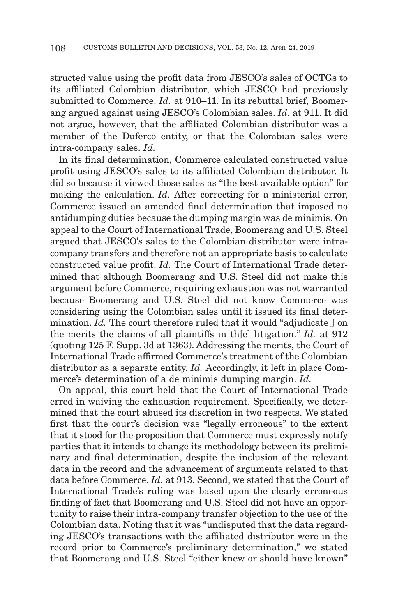structed value using the profit data from JESCO's sales of OCTGs to its affiliated Colombian distributor, which JESCO had previously submitted to Commerce. *Id.* at 910–11. In its rebuttal brief, Boomerang argued against using JESCO's Colombian sales. *Id.* at 911. It did not argue, however, that the affiliated Colombian distributor was a member of the Duferco entity, or that the Colombian sales were intra-company sales. *Id.*

In its final determination, Commerce calculated constructed value profit using JESCO's sales to its affiliated Colombian distributor. It did so because it viewed those sales as "the best available option" for making the calculation. *Id.* After correcting for a ministerial error, Commerce issued an amended final determination that imposed no antidumping duties because the dumping margin was de minimis. On appeal to the Court of International Trade, Boomerang and U.S. Steel argued that JESCO's sales to the Colombian distributor were intracompany transfers and therefore not an appropriate basis to calculate constructed value profit. *Id.* The Court of International Trade determined that although Boomerang and U.S. Steel did not make this argument before Commerce, requiring exhaustion was not warranted because Boomerang and U.S. Steel did not know Commerce was considering using the Colombian sales until it issued its final determination. *Id.* The court therefore ruled that it would "adjudicate on the merits the claims of all plaintiffs in th[e] litigation." *Id.* at 912 (quoting 125 F. Supp. 3d at 1363). Addressing the merits, the Court of International Trade affirmed Commerce's treatment of the Colombian distributor as a separate entity. *Id.* Accordingly, it left in place Commerce's determination of a de minimis dumping margin. *Id.*

On appeal, this court held that the Court of International Trade erred in waiving the exhaustion requirement. Specifically, we determined that the court abused its discretion in two respects. We stated first that the court's decision was "legally erroneous" to the extent that it stood for the proposition that Commerce must expressly notify parties that it intends to change its methodology between its preliminary and final determination, despite the inclusion of the relevant data in the record and the advancement of arguments related to that data before Commerce. *Id.* at 913. Second, we stated that the Court of International Trade's ruling was based upon the clearly erroneous finding of fact that Boomerang and U.S. Steel did not have an opportunity to raise their intra-company transfer objection to the use of the Colombian data. Noting that it was "undisputed that the data regarding JESCO's transactions with the affiliated distributor were in the record prior to Commerce's preliminary determination," we stated that Boomerang and U.S. Steel "either knew or should have known"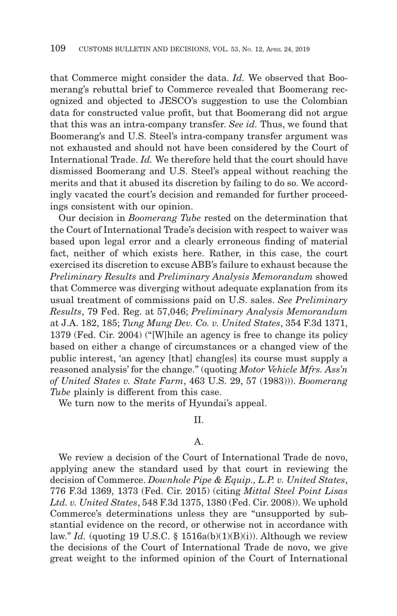that Commerce might consider the data. *Id.* We observed that Boomerang's rebuttal brief to Commerce revealed that Boomerang recognized and objected to JESCO's suggestion to use the Colombian data for constructed value profit, but that Boomerang did not argue that this was an intra-company transfer. *See id.* Thus, we found that Boomerang's and U.S. Steel's intra-company transfer argument was not exhausted and should not have been considered by the Court of International Trade. *Id.* We therefore held that the court should have dismissed Boomerang and U.S. Steel's appeal without reaching the merits and that it abused its discretion by failing to do so. We accordingly vacated the court's decision and remanded for further proceedings consistent with our opinion.

Our decision in *Boomerang Tube* rested on the determination that the Court of International Trade's decision with respect to waiver was based upon legal error and a clearly erroneous finding of material fact, neither of which exists here. Rather, in this case, the court exercised its discretion to excuse ABB's failure to exhaust because the *Preliminary Results* and *Preliminary Analysis Memorandum* showed that Commerce was diverging without adequate explanation from its usual treatment of commissions paid on U.S. sales. *See Preliminary Results*, 79 Fed. Reg. at 57,046; *Preliminary Analysis Memorandum* at J.A. 182, 185; *Tung Mung Dev. Co. v. United States*, 354 F.3d 1371, 1379 (Fed. Cir. 2004) ("[W]hile an agency is free to change its policy based on either a change of circumstances or a changed view of the public interest, 'an agency [that] chang[es] its course must supply a reasoned analysis' for the change." (quoting *Motor Vehicle Mfrs. Ass'n of United States v. State Farm*, 463 U.S. 29, 57 (1983))). *Boomerang Tube* plainly is different from this case.

We turn now to the merits of Hyundai's appeal.

II.

#### A.

We review a decision of the Court of International Trade de novo, applying anew the standard used by that court in reviewing the decision of Commerce. *Downhole Pipe & Equip., L.P. v. United States*, 776 F.3d 1369, 1373 (Fed. Cir. 2015) (citing *Mittal Steel Point Lisas Ltd. v. United States*, 548 F.3d 1375, 1380 (Fed. Cir. 2008)). We uphold Commerce's determinations unless they are "unsupported by substantial evidence on the record, or otherwise not in accordance with law." *Id.* (quoting 19 U.S.C. § 1516a(b)(1)(B)(i)). Although we review the decisions of the Court of International Trade de novo, we give great weight to the informed opinion of the Court of International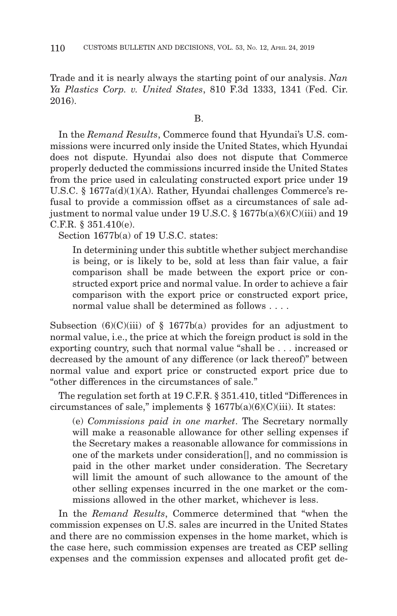Trade and it is nearly always the starting point of our analysis. *Nan Ya Plastics Corp. v. United States*, 810 F.3d 1333, 1341 (Fed. Cir. 2016).

## B.

In the *Remand Results*, Commerce found that Hyundai's U.S. commissions were incurred only inside the United States, which Hyundai does not dispute. Hyundai also does not dispute that Commerce properly deducted the commissions incurred inside the United States from the price used in calculating constructed export price under 19 U.S.C. § 1677a(d)(1)(A). Rather, Hyundai challenges Commerce's refusal to provide a commission offset as a circumstances of sale adjustment to normal value under 19 U.S.C. § 1677b(a)(6)(C)(iii) and 19 C.F.R. § 351.410(e).

Section 1677b(a) of 19 U.S.C. states:

In determining under this subtitle whether subject merchandise is being, or is likely to be, sold at less than fair value, a fair comparison shall be made between the export price or constructed export price and normal value. In order to achieve a fair comparison with the export price or constructed export price, normal value shall be determined as follows . . . .

Subsection  $(6)(C)(iii)$  of § 1677b(a) provides for an adjustment to normal value, i.e., the price at which the foreign product is sold in the exporting country, such that normal value "shall be . . . increased or decreased by the amount of any difference (or lack thereof)" between normal value and export price or constructed export price due to "other differences in the circumstances of sale."

The regulation set forth at 19 C.F.R. § 351.410, titled "Differences in circumstances of sale," implements  $\S 1677b(a)(6)(C)(iii)$ . It states:

(e) *Commissions paid in one market*. The Secretary normally will make a reasonable allowance for other selling expenses if the Secretary makes a reasonable allowance for commissions in one of the markets under consideration[], and no commission is paid in the other market under consideration. The Secretary will limit the amount of such allowance to the amount of the other selling expenses incurred in the one market or the commissions allowed in the other market, whichever is less.

In the *Remand Results*, Commerce determined that "when the commission expenses on U.S. sales are incurred in the United States and there are no commission expenses in the home market, which is the case here, such commission expenses are treated as CEP selling expenses and the commission expenses and allocated profit get de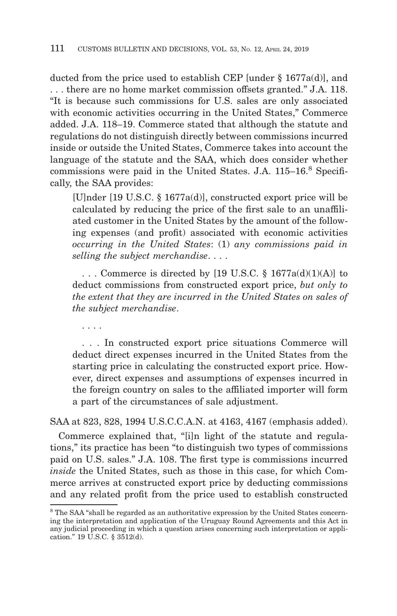ducted from the price used to establish CEP [under § 1677a(d)], and . . . there are no home market commission offsets granted." J.A. 118. "It is because such commissions for U.S. sales are only associated with economic activities occurring in the United States," Commerce added. J.A. 118–19. Commerce stated that although the statute and regulations do not distinguish directly between commissions incurred inside or outside the United States, Commerce takes into account the language of the statute and the SAA, which does consider whether commissions were paid in the United States. J.A. 115–16.<sup>8</sup> Specifically, the SAA provides:

[U]nder [19 U.S.C. § 1677a(d)], constructed export price will be calculated by reducing the price of the first sale to an unaffiliated customer in the United States by the amount of the following expenses (and profit) associated with economic activities *occurring in the United States*: (1) *any commissions paid in selling the subject merchandise*. . . .

 . . . Commerce is directed by [19 U.S.C. § 1677a(d)(1)(A)] to deduct commissions from constructed export price, *but only to the extent that they are incurred in the United States on sales of the subject merchandise*.

. . . .

 . . . In constructed export price situations Commerce will deduct direct expenses incurred in the United States from the starting price in calculating the constructed export price. However, direct expenses and assumptions of expenses incurred in the foreign country on sales to the affiliated importer will form a part of the circumstances of sale adjustment.

SAA at 823, 828, 1994 U.S.C.C.A.N. at 4163, 4167 (emphasis added).

Commerce explained that, "[i]n light of the statute and regulations," its practice has been "to distinguish two types of commissions paid on U.S. sales." J.A. 108. The first type is commissions incurred *inside* the United States, such as those in this case, for which Commerce arrives at constructed export price by deducting commissions and any related profit from the price used to establish constructed

<sup>8</sup> The SAA "shall be regarded as an authoritative expression by the United States concerning the interpretation and application of the Uruguay Round Agreements and this Act in any judicial proceeding in which a question arises concerning such interpretation or application." 19 U.S.C. § 3512(d).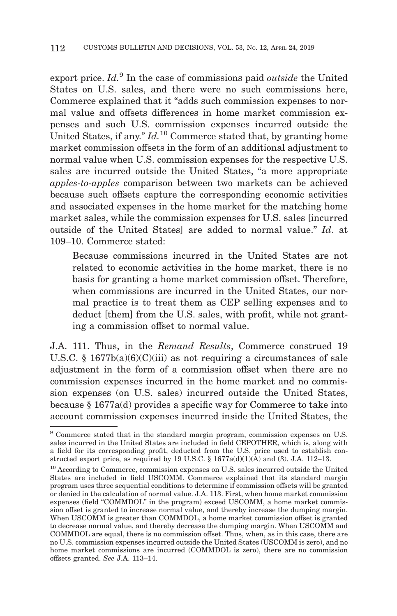export price. *Id.*9 In the case of commissions paid *outside* the United States on U.S. sales, and there were no such commissions here, Commerce explained that it "adds such commission expenses to normal value and offsets differences in home market commission expenses and such U.S. commission expenses incurred outside the United States, if any." *Id.*<sup>10</sup> Commerce stated that, by granting home market commission offsets in the form of an additional adjustment to normal value when U.S. commission expenses for the respective U.S. sales are incurred outside the United States, "a more appropriate *apples-to-apples* comparison between two markets can be achieved because such offsets capture the corresponding economic activities and associated expenses in the home market for the matching home market sales, while the commission expenses for U.S. sales [incurred outside of the United States] are added to normal value." *Id*. at 109–10. Commerce stated:

Because commissions incurred in the United States are not related to economic activities in the home market, there is no basis for granting a home market commission offset. Therefore, when commissions are incurred in the United States, our normal practice is to treat them as CEP selling expenses and to deduct [them] from the U.S. sales, with profit, while not granting a commission offset to normal value.

J.A. 111. Thus, in the *Remand Results*, Commerce construed 19 U.S.C. § 1677b(a)(6)(C)(iii) as not requiring a circumstances of sale adjustment in the form of a commission offset when there are no commission expenses incurred in the home market and no commission expenses (on U.S. sales) incurred outside the United States, because § 1677a(d) provides a specific way for Commerce to take into account commission expenses incurred inside the United States, the

<sup>9</sup> Commerce stated that in the standard margin program, commission expenses on U.S. sales incurred in the United States are included in field CEPOTHER, which is, along with a field for its corresponding profit, deducted from the U.S. price used to establish constructed export price, as required by 19 U.S.C.  $\S$  1677a(d)(1)(A) and (3). J.A. 112–13.

<sup>&</sup>lt;sup>10</sup> According to Commerce, commission expenses on U.S. sales incurred outside the United States are included in field USCOMM. Commerce explained that its standard margin program uses three sequential conditions to determine if commission offsets will be granted or denied in the calculation of normal value. J.A. 113. First, when home market commission expenses (field "COMMDOL" in the program) exceed USCOMM, a home market commission offset is granted to increase normal value, and thereby increase the dumping margin. When USCOMM is greater than COMMDOL, a home market commission offset is granted to decrease normal value, and thereby decrease the dumping margin. When USCOMM and COMMDOL are equal, there is no commission offset. Thus, when, as in this case, there are no U.S. commission expenses incurred outside the United States (USCOMM is zero), and no home market commissions are incurred (COMMDOL is zero), there are no commission offsets granted. *See* J.A. 113–14.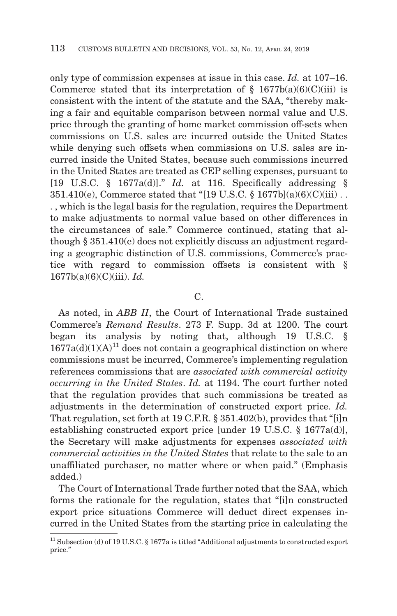only type of commission expenses at issue in this case. *Id.* at 107–16. Commerce stated that its interpretation of  $\S$  1677b(a)(6)(C)(iii) is consistent with the intent of the statute and the SAA, "thereby making a fair and equitable comparison between normal value and U.S. price through the granting of home market commission off-sets when commissions on U.S. sales are incurred outside the United States while denying such offsets when commissions on U.S. sales are incurred inside the United States, because such commissions incurred in the United States are treated as CEP selling expenses, pursuant to [19 U.S.C. § 1677a(d)]." *Id.* at 116. Specifically addressing § 351.410(e), Commerce stated that "[19 U.S.C. § 1677b](a)(6)(C)(iii) . . . , which is the legal basis for the regulation, requires the Department to make adjustments to normal value based on other differences in the circumstances of sale." Commerce continued, stating that although § 351.410(e) does not explicitly discuss an adjustment regarding a geographic distinction of U.S. commissions, Commerce's practice with regard to commission offsets is consistent with § 1677b(a)(6)(C)(iii). *Id.*

## C.

As noted, in *ABB II*, the Court of International Trade sustained Commerce's *Remand Results*. 273 F. Supp. 3d at 1200. The court began its analysis by noting that, although 19 U.S.C. §  $1677a(d)(1)(A)^{11}$  does not contain a geographical distinction on where commissions must be incurred, Commerce's implementing regulation references commissions that are *associated with commercial activity occurring in the United States*. *Id.* at 1194. The court further noted that the regulation provides that such commissions be treated as adjustments in the determination of constructed export price. *Id.* That regulation, set forth at 19 C.F.R. § 351.402(b), provides that "[i]n establishing constructed export price [under 19 U.S.C. § 1677a(d)], the Secretary will make adjustments for expenses *associated with commercial activities in the United States* that relate to the sale to an unaffiliated purchaser, no matter where or when paid." (Emphasis added.)

The Court of International Trade further noted that the SAA, which forms the rationale for the regulation, states that "[i]n constructed export price situations Commerce will deduct direct expenses incurred in the United States from the starting price in calculating the

<sup>&</sup>lt;sup>11</sup> Subsection (d) of 19 U.S.C. § 1677a is titled "Additional adjustments to constructed export price."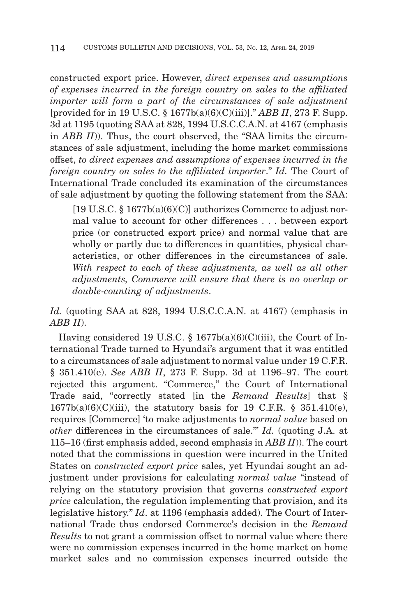constructed export price. However, *direct expenses and assumptions of expenses incurred in the foreign country on sales to the affiliated importer will form a part of the circumstances of sale adjustment* [provided for in 19 U.S.C. § 1677b(a)(6)(C)(iii)]." *ABB II*, 273 F. Supp. 3d at 1195 (quoting SAA at 828, 1994 U.S.C.C.A.N. at 4167 (emphasis in *ABB II*)). Thus, the court observed, the "SAA limits the circumstances of sale adjustment, including the home market commissions offset, *to direct expenses and assumptions of expenses incurred in the foreign country on sales to the affiliated importer*." *Id.* The Court of International Trade concluded its examination of the circumstances of sale adjustment by quoting the following statement from the SAA:

 $[19 \text{ U.S.C. } \S 1677b(a)(6)(C)]$  authorizes Commerce to adjust normal value to account for other differences . . . between export price (or constructed export price) and normal value that are wholly or partly due to differences in quantities, physical characteristics, or other differences in the circumstances of sale. *With respect to each of these adjustments, as well as all other adjustments, Commerce will ensure that there is no overlap or double-counting of adjustments*.

*Id.* (quoting SAA at 828, 1994 U.S.C.C.A.N. at 4167) (emphasis in *ABB II*).

Having considered 19 U.S.C. § 1677b(a)(6)(C)(iii), the Court of International Trade turned to Hyundai's argument that it was entitled to a circumstances of sale adjustment to normal value under 19 C.F.R. § 351.410(e). *See ABB II*, 273 F. Supp. 3d at 1196–97. The court rejected this argument. "Commerce," the Court of International Trade said, "correctly stated [in the *Remand Results*] that §  $1677b(a)(6)(C)(iii)$ , the statutory basis for 19 C.F.R. § 351.410(e), requires [Commerce] 'to make adjustments to *normal value* based on *other* differences in the circumstances of sale.'" *Id.* (quoting J.A. at 115–16 (first emphasis added, second emphasis in *ABB II*)). The court noted that the commissions in question were incurred in the United States on *constructed export price* sales, yet Hyundai sought an adjustment under provisions for calculating *normal value* "instead of relying on the statutory provision that governs *constructed export price* calculation, the regulation implementing that provision, and its legislative history." *Id*. at 1196 (emphasis added). The Court of International Trade thus endorsed Commerce's decision in the *Remand Results* to not grant a commission offset to normal value where there were no commission expenses incurred in the home market on home market sales and no commission expenses incurred outside the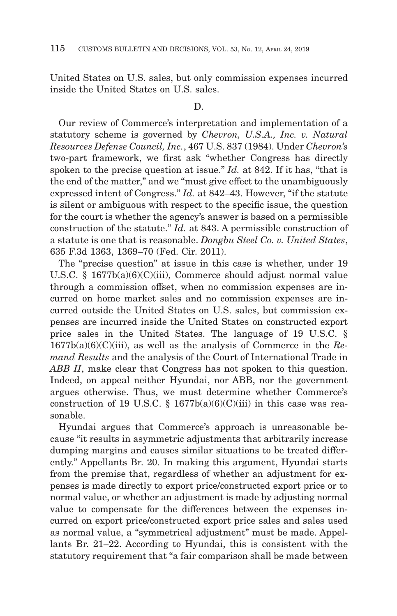United States on U.S. sales, but only commission expenses incurred inside the United States on U.S. sales.

#### D.

Our review of Commerce's interpretation and implementation of a statutory scheme is governed by *Chevron, U.S.A., Inc. v. Natural Resources Defense Council, Inc.*, 467 U.S. 837 (1984). Under *Chevron's* two-part framework, we first ask "whether Congress has directly spoken to the precise question at issue." *Id.* at 842. If it has, "that is the end of the matter," and we "must give effect to the unambiguously expressed intent of Congress." *Id.* at 842–43. However, "if the statute is silent or ambiguous with respect to the specific issue, the question for the court is whether the agency's answer is based on a permissible construction of the statute." *Id.* at 843. A permissible construction of a statute is one that is reasonable. *Dongbu Steel Co. v. United States*, 635 F.3d 1363, 1369–70 (Fed. Cir. 2011).

The "precise question" at issue in this case is whether, under 19 U.S.C. § 1677b(a)(6)(C)(iii), Commerce should adjust normal value through a commission offset, when no commission expenses are incurred on home market sales and no commission expenses are incurred outside the United States on U.S. sales, but commission expenses are incurred inside the United States on constructed export price sales in the United States. The language of 19 U.S.C. § 1677b(a)(6)(C)(iii), as well as the analysis of Commerce in the *Remand Results* and the analysis of the Court of International Trade in *ABB II*, make clear that Congress has not spoken to this question. Indeed, on appeal neither Hyundai, nor ABB, nor the government argues otherwise. Thus, we must determine whether Commerce's construction of 19 U.S.C. §  $1677b(a)(6)(C(iii))$  in this case was reasonable.

Hyundai argues that Commerce's approach is unreasonable because "it results in asymmetric adjustments that arbitrarily increase dumping margins and causes similar situations to be treated differently." Appellants Br. 20. In making this argument, Hyundai starts from the premise that, regardless of whether an adjustment for expenses is made directly to export price/constructed export price or to normal value, or whether an adjustment is made by adjusting normal value to compensate for the differences between the expenses incurred on export price/constructed export price sales and sales used as normal value, a "symmetrical adjustment" must be made. Appellants Br. 21–22. According to Hyundai, this is consistent with the statutory requirement that "a fair comparison shall be made between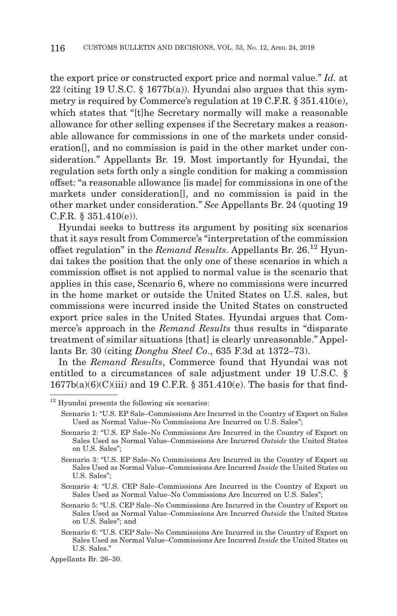the export price or constructed export price and normal value." *Id.* at 22 (citing 19 U.S.C. § 1677b(a)). Hyundai also argues that this symmetry is required by Commerce's regulation at 19 C.F.R. § 351.410(e), which states that "[t]he Secretary normally will make a reasonable allowance for other selling expenses if the Secretary makes a reasonable allowance for commissions in one of the markets under consideration[], and no commission is paid in the other market under consideration." Appellants Br. 19. Most importantly for Hyundai, the regulation sets forth only a single condition for making a commission offset: "a reasonable allowance [is made] for commissions in one of the markets under consideration[], and no commission is paid in the other market under consideration." *See* Appellants Br. 24 (quoting 19 C.F.R. § 351.410(e)).

Hyundai seeks to buttress its argument by positing six scenarios that it says result from Commerce's "interpretation of the commission offset regulation" in the *Remand Results*. Appellants Br. 26.12 Hyundai takes the position that the only one of these scenarios in which a commission offset is not applied to normal value is the scenario that applies in this case, Scenario 6, where no commissions were incurred in the home market or outside the United States on U.S. sales, but commissions were incurred inside the United States on constructed export price sales in the United States. Hyundai argues that Commerce's approach in the *Remand Results* thus results in "disparate treatment of similar situations [that] is clearly unreasonable." Appellants Br. 30 (citing *Dongbu Steel Co*., 635 F.3d at 1372–73).

In the *Remand Results*, Commerce found that Hyundai was not entitled to a circumstances of sale adjustment under 19 U.S.C. §  $1677b(a)(6)(C(iii)$  and 19 C.F.R. § 351.410(e). The basis for that find-

Scenario 6: "U.S. CEP Sale–No Commissions Are Incurred in the Country of Export on Sales Used as Normal Value–Commissions Are Incurred *Inside* the United States on U.S. Sales."

Appellants Br. 26–30.

<sup>&</sup>lt;sup>12</sup> Hyundai presents the following six scenarios:

Scenario 1: "U.S. EP Sale–Commissions Are Incurred in the Country of Export on Sales Used as Normal Value–No Commissions Are Incurred on U.S. Sales";

Scenario 2: "U.S. EP Sale–No Commissions Are Incurred in the Country of Export on Sales Used as Normal Value–Commissions Are Incurred *Outside* the United States on U.S. Sales";

Scenario 3: "U.S. EP Sale–No Commissions Are Incurred in the Country of Export on Sales Used as Normal Value–Commissions Are Incurred *Inside* the United States on U.S. Sales";

Scenario 4: "U.S. CEP Sale–Commissions Are Incurred in the Country of Export on Sales Used as Normal Value–No Commissions Are Incurred on U.S. Sales";

Scenario 5: "U.S. CEP Sale–No Commissions Are Incurred in the Country of Export on Sales Used as Normal Value–Commissions Are Incurred *Outside* the United States on U.S. Sales"; and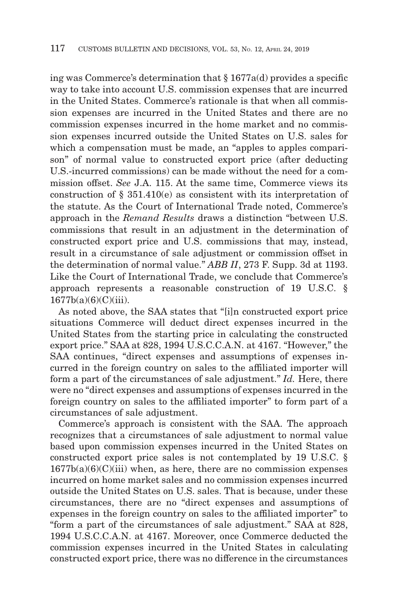ing was Commerce's determination that § 1677a(d) provides a specific way to take into account U.S. commission expenses that are incurred in the United States. Commerce's rationale is that when all commission expenses are incurred in the United States and there are no commission expenses incurred in the home market and no commission expenses incurred outside the United States on U.S. sales for which a compensation must be made, an "apples to apples comparison" of normal value to constructed export price (after deducting U.S.-incurred commissions) can be made without the need for a commission offset. *See* J.A. 115. At the same time, Commerce views its construction of § 351.410(e) as consistent with its interpretation of the statute. As the Court of International Trade noted, Commerce's approach in the *Remand Results* draws a distinction "between U.S. commissions that result in an adjustment in the determination of constructed export price and U.S. commissions that may, instead, result in a circumstance of sale adjustment or commission offset in the determination of normal value." *ABB II*, 273 F. Supp. 3d at 1193. Like the Court of International Trade, we conclude that Commerce's approach represents a reasonable construction of 19 U.S.C. § 1677b(a)(6)(C)(iii).

As noted above, the SAA states that "[i]n constructed export price situations Commerce will deduct direct expenses incurred in the United States from the starting price in calculating the constructed export price." SAA at 828, 1994 U.S.C.C.A.N. at 4167. "However," the SAA continues, "direct expenses and assumptions of expenses incurred in the foreign country on sales to the affiliated importer will form a part of the circumstances of sale adjustment." *Id.* Here, there were no "direct expenses and assumptions of expenses incurred in the foreign country on sales to the affiliated importer" to form part of a circumstances of sale adjustment.

Commerce's approach is consistent with the SAA. The approach recognizes that a circumstances of sale adjustment to normal value based upon commission expenses incurred in the United States on constructed export price sales is not contemplated by 19 U.S.C. §  $1677b(a)(6)(C(iii)$  when, as here, there are no commission expenses incurred on home market sales and no commission expenses incurred outside the United States on U.S. sales. That is because, under these circumstances, there are no "direct expenses and assumptions of expenses in the foreign country on sales to the affiliated importer" to "form a part of the circumstances of sale adjustment." SAA at 828, 1994 U.S.C.C.A.N. at 4167. Moreover, once Commerce deducted the commission expenses incurred in the United States in calculating constructed export price, there was no difference in the circumstances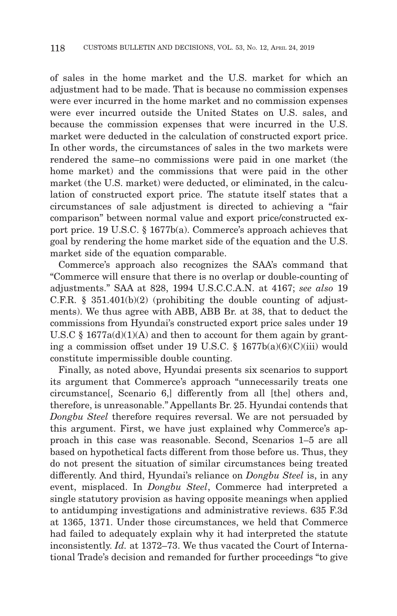of sales in the home market and the U.S. market for which an adjustment had to be made. That is because no commission expenses were ever incurred in the home market and no commission expenses were ever incurred outside the United States on U.S. sales, and because the commission expenses that were incurred in the U.S. market were deducted in the calculation of constructed export price. In other words, the circumstances of sales in the two markets were rendered the same–no commissions were paid in one market (the home market) and the commissions that were paid in the other market (the U.S. market) were deducted, or eliminated, in the calculation of constructed export price. The statute itself states that a circumstances of sale adjustment is directed to achieving a "fair comparison" between normal value and export price/constructed export price. 19 U.S.C. § 1677b(a). Commerce's approach achieves that goal by rendering the home market side of the equation and the U.S. market side of the equation comparable.

Commerce's approach also recognizes the SAA's command that "Commerce will ensure that there is no overlap or double-counting of adjustments." SAA at 828, 1994 U.S.C.C.A.N. at 4167; *see also* 19 C.F.R.  $\S$  351.401(b)(2) (prohibiting the double counting of adjustments). We thus agree with ABB, ABB Br. at 38, that to deduct the commissions from Hyundai's constructed export price sales under 19 U.S.C  $\S$  1677a(d)(1)(A) and then to account for them again by granting a commission offset under 19 U.S.C. § 1677b(a)(6)(C)(iii) would constitute impermissible double counting.

Finally, as noted above, Hyundai presents six scenarios to support its argument that Commerce's approach "unnecessarily treats one circumstance[, Scenario 6,] differently from all [the] others and, therefore, is unreasonable." Appellants Br. 25. Hyundai contends that *Dongbu Steel* therefore requires reversal. We are not persuaded by this argument. First, we have just explained why Commerce's approach in this case was reasonable. Second, Scenarios 1–5 are all based on hypothetical facts different from those before us. Thus, they do not present the situation of similar circumstances being treated differently. And third, Hyundai's reliance on *Dongbu Steel* is, in any event, misplaced. In *Dongbu Steel*, Commerce had interpreted a single statutory provision as having opposite meanings when applied to antidumping investigations and administrative reviews. 635 F.3d at 1365, 1371. Under those circumstances, we held that Commerce had failed to adequately explain why it had interpreted the statute inconsistently. *Id.* at 1372–73. We thus vacated the Court of International Trade's decision and remanded for further proceedings "to give